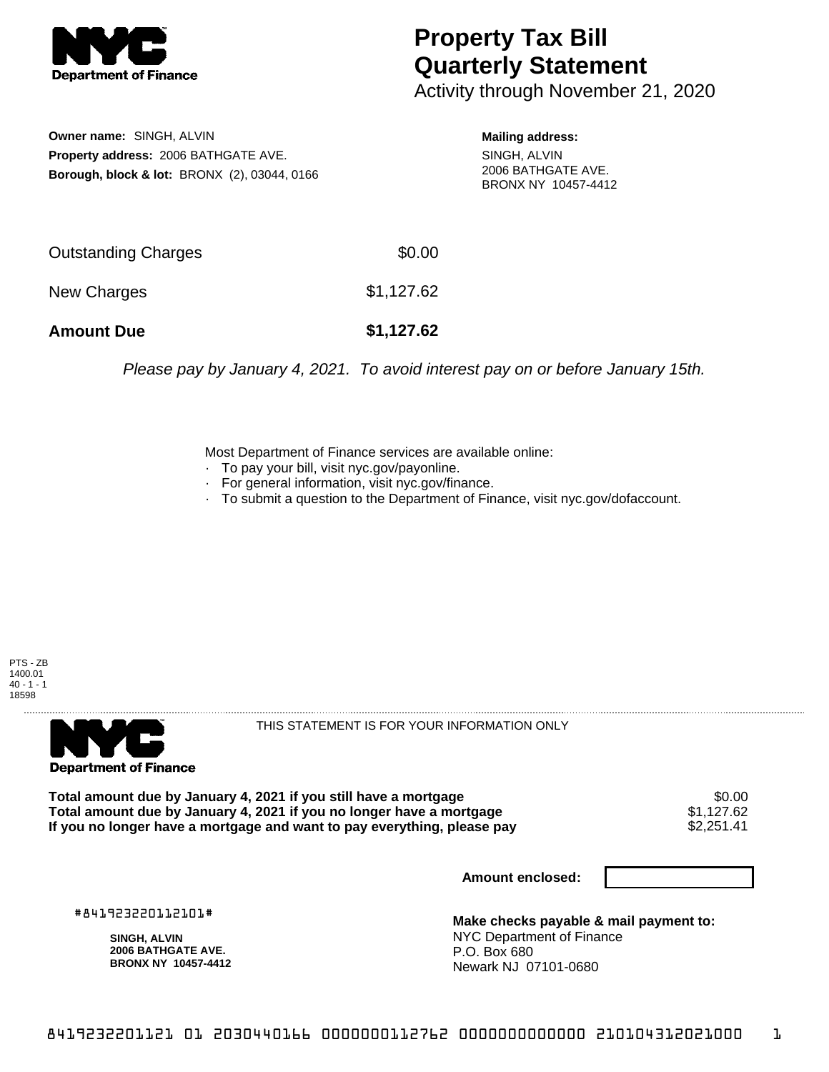

## **Property Tax Bill Quarterly Statement**

Activity through November 21, 2020

**Owner name:** SINGH, ALVIN **Property address:** 2006 BATHGATE AVE. **Borough, block & lot:** BRONX (2), 03044, 0166 **Mailing address:**

SINGH, ALVIN 2006 BATHGATE AVE. BRONX NY 10457-4412

| <b>Amount Due</b>          | \$1,127.62 |
|----------------------------|------------|
| New Charges                | \$1,127.62 |
| <b>Outstanding Charges</b> | \$0.00     |

Please pay by January 4, 2021. To avoid interest pay on or before January 15th.

Most Department of Finance services are available online:

- · To pay your bill, visit nyc.gov/payonline.
- For general information, visit nyc.gov/finance.
- · To submit a question to the Department of Finance, visit nyc.gov/dofaccount.





THIS STATEMENT IS FOR YOUR INFORMATION ONLY

Total amount due by January 4, 2021 if you still have a mortgage \$0.00<br>Total amount due by January 4, 2021 if you no longer have a mortgage \$1.127.62 **Total amount due by January 4, 2021 if you no longer have a mortgage**  $$1,127.62$$ **<br>If you no longer have a mortgage and want to pay everything, please pay**  $$2,251.41$$ If you no longer have a mortgage and want to pay everything, please pay

**Amount enclosed:**

#841923220112101#

**SINGH, ALVIN 2006 BATHGATE AVE. BRONX NY 10457-4412**

**Make checks payable & mail payment to:** NYC Department of Finance P.O. Box 680 Newark NJ 07101-0680